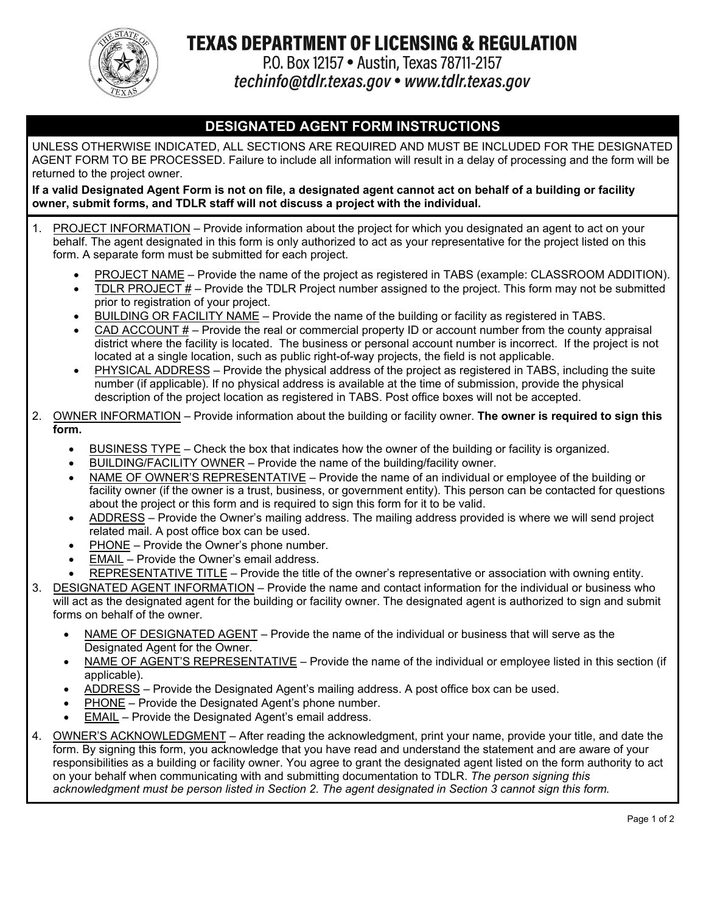

## **TEXAS DEPARTMENT OF LICENSING & REGULATION**

P.O. Box 12157 . Austin, Texas 78711-2157 techinfo@tdlr.texas.gov • www.tdlr.texas.gov

### **DESIGNATED AGENT FORM INSTRUCTIONS**

UNLESS OTHERWISE INDICATED, ALL SECTIONS ARE REQUIRED AND MUST BE INCLUDED FOR THE DESIGNATED AGENT FORM TO BE PROCESSED. Failure to include all information will result in a delay of processing and the form will be returned to the project owner.

**If a valid Designated Agent Form is not on file, a designated agent cannot act on behalf of a building or facility owner, submit forms, and TDLR staff will not discuss a project with the individual.**

- 1. PROJECT INFORMATION Provide information about the project for which you designated an agent to act on your behalf. The agent designated in this form is only authorized to act as your representative for the project listed on this form. A separate form must be submitted for each project.
	- PROJECT NAME Provide the name of the project as registered in TABS (example: CLASSROOM ADDITION).
	- TDLR PROJECT # Provide the TDLR Project number assigned to the project. This form may not be submitted prior to registration of your project.
	- BUILDING OR FACILITY NAME Provide the name of the building or facility as registered in TABS.
	- CAD ACCOUNT # Provide the real or commercial property ID or account number from the county appraisal district where the facility is located. The business or personal account number is incorrect. If the project is not located at a single location, such as public right-of-way projects, the field is not applicable.
	- PHYSICAL ADDRESS Provide the physical address of the project as registered in TABS, including the suite number (if applicable). If no physical address is available at the time of submission, provide the physical description of the project location as registered in TABS. Post office boxes will not be accepted.
- 2. OWNER INFORMATION Provide information about the building or facility owner. **The owner is required to sign this form.**
	- BUSINESS TYPE Check the box that indicates how the owner of the building or facility is organized.
	- BUILDING/FACILITY OWNER Provide the name of the building/facility owner.
	- NAME OF OWNER'S REPRESENTATIVE Provide the name of an individual or employee of the building or facility owner (if the owner is a trust, business, or government entity). This person can be contacted for questions about the project or this form and is required to sign this form for it to be valid.
	- ADDRESS Provide the Owner's mailing address. The mailing address provided is where we will send project related mail. A post office box can be used.
	- PHONE Provide the Owner's phone number.
	- EMAIL Provide the Owner's email address.
	- REPRESENTATIVE TITLE Provide the title of the owner's representative or association with owning entity.
- 3. DESIGNATED AGENT INFORMATION Provide the name and contact information for the individual or business who will act as the designated agent for the building or facility owner. The designated agent is authorized to sign and submit forms on behalf of the owner.
	- NAME OF DESIGNATED AGENT Provide the name of the individual or business that will serve as the Designated Agent for the Owner.
	- NAME OF AGENT'S REPRESENTATIVE Provide the name of the individual or employee listed in this section (if applicable).
	- ADDRESS Provide the Designated Agent's mailing address. A post office box can be used.
	- PHONE Provide the Designated Agent's phone number.
	- EMAIL Provide the Designated Agent's email address.
- 4. OWNER'S ACKNOWLEDGMENT After reading the acknowledgment, print your name, provide your title, and date the form. By signing this form, you acknowledge that you have read and understand the statement and are aware of your responsibilities as a building or facility owner. You agree to grant the designated agent listed on the form authority to act on your behalf when communicating with and submitting documentation to TDLR. *The person signing this acknowledgment must be person listed in Section 2. The agent designated in Section 3 cannot sign this form.*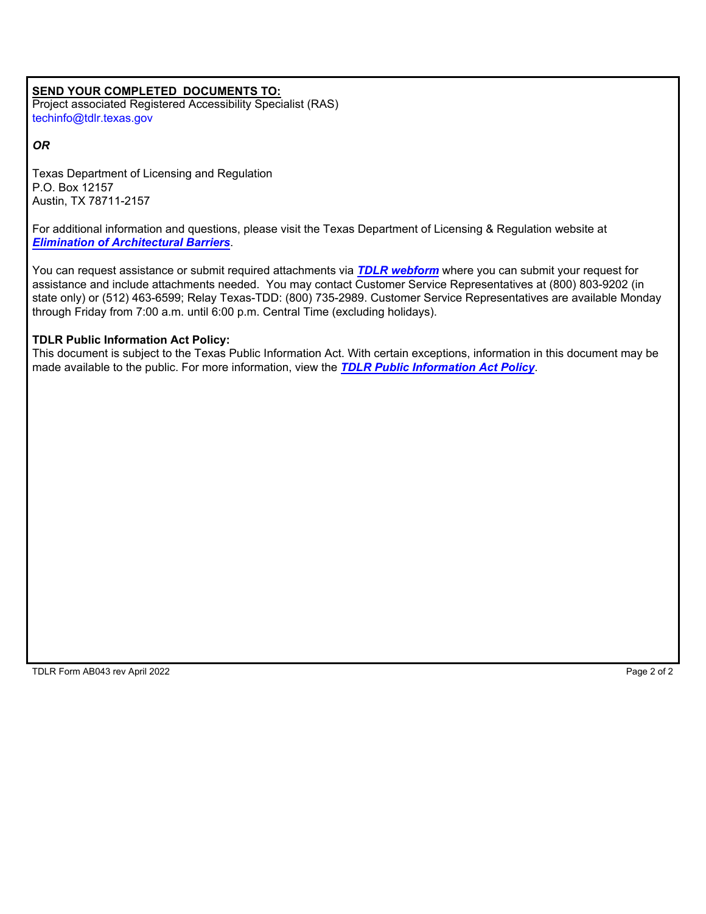#### **SEND YOUR COMPLETED DOCUMENTS TO:**

Project associated Registered Accessibility Specialist (RAS) techinfo@tdlr.texas.gov

*OR*

Texas Department of Licensing and Regulation P.O. Box 12157 Austin, TX 78711-2157

For additional information and questions, please visit the Texas Department of Licensing & Regulation website at *[Elimination of Architectural Barriers](https://www.tdlr.texas.gov/ab/ab.htm)*.

You can request assistance or submit required attachments via *[TDLR webform](https://ga.tdlr.texas.gov:1443/form/csgeneralinquiry)* where you can submit your request for assistance and include attachments needed. You may contact Customer Service Representatives at (800) 803-9202 (in state only) or (512) 463-6599; Relay Texas-TDD: (800) 735-2989. Customer Service Representatives are available Monday through Friday from 7:00 a.m. until 6:00 p.m. Central Time (excluding holidays).

#### **TDLR Public Information Act Policy:**

This document is subject to the Texas Public Information Act. With certain exceptions, information in this document may be made available to the public. For more information, view the *[TDLR Public Information Act Policy](https://www.tdlr.texas.gov/disclaimer.htm#PublicInfoPolicy)*.

TDLR Form AB043 rev April 2022 **Page 2 of 2** and the state of 2 of 2 and the state of 2 of 2 and 2 of 2 of 2 of 2